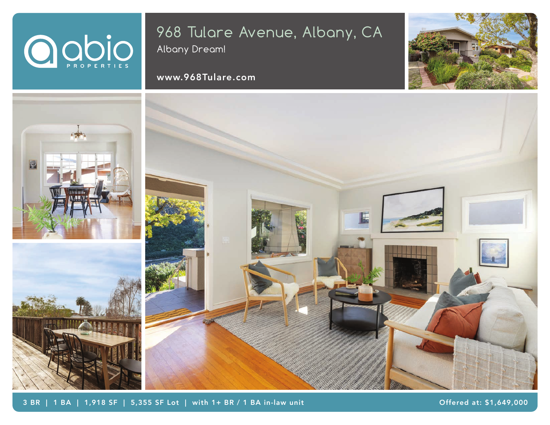# OODIO

## 968 Tulare Avenue, Albany, CA

Albany Dream!

### www.968Tulare.com





3 BR | 1 BA | 1,918 SF | 5,355 SF Lot | with 1+ BR / 1 BA in-law unit

Offered at: \$1,649,000